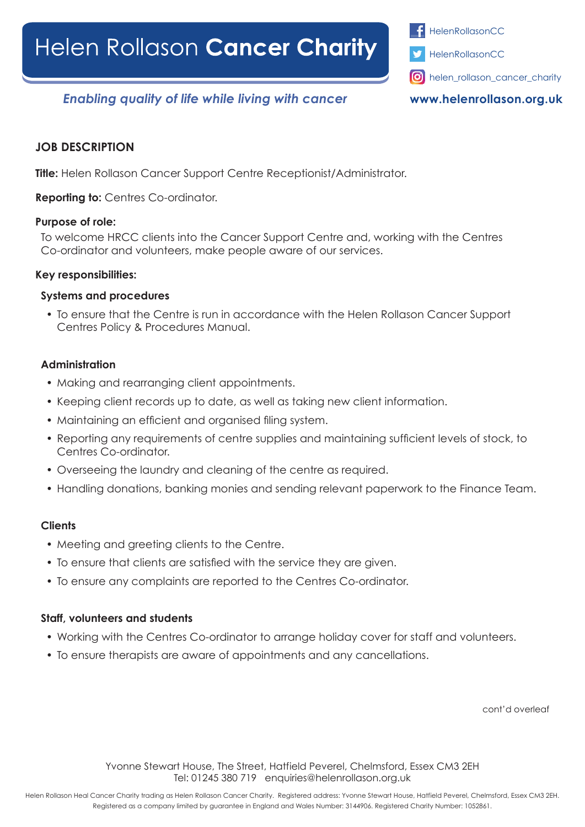

*Enabling quality of life while living with cancer*

**www.helenrollason.org.uk**

## **JOB DESCRIPTION**

**Title:** Helen Rollason Cancer Support Centre Receptionist/Administrator.

**Reporting to:** Centres Co-ordinator.

## **Purpose of role:**

To welcome HRCC clients into the Cancer Support Centre and, working with the Centres Co-ordinator and volunteers, make people aware of our services.

## **Key responsibilities:**

## **Systems and procedures**

• To ensure that the Centre is run in accordance with the Helen Rollason Cancer Support Centres Policy & Procedures Manual.

## **Administration**

- Making and rearranging client appointments.
- Keeping client records up to date, as well as taking new client information.
- • Maintaining an efficient and organised filing system.
- Reporting any requirements of centre supplies and maintaining sufficient levels of stock, to Centres Co-ordinator.
- Overseeing the laundry and cleaning of the centre as required.
- Handling donations, banking monies and sending relevant paperwork to the Finance Team.

## **Clients**

- Meeting and greeting clients to the Centre.
- To ensure that clients are satisfied with the service they are given.
- To ensure any complaints are reported to the Centres Co-ordinator.

## **Staff, volunteers and students**

- Working with the Centres Co-ordinator to arrange holiday cover for staff and volunteers.
- To ensure therapists are aware of appointments and any cancellations.

cont'd overleaf

Yvonne Stewart House, The Street, Hatfield Peverel, Chelmsford, Essex CM3 2EH Tel: 01245 380 719 enquiries@helenrollason.org.uk